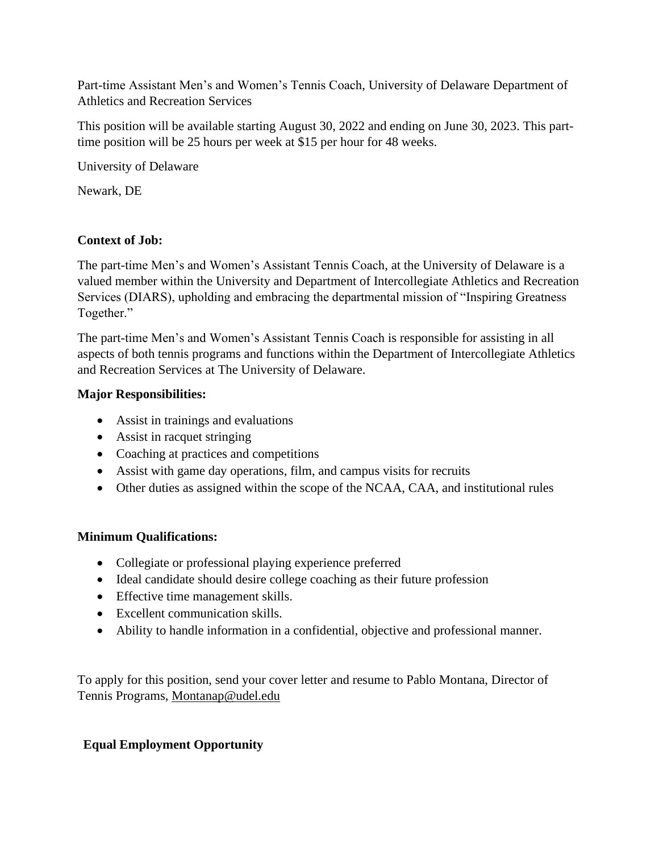Part-time Assistant Men's and Women's Tennis Coach, University of Delaware Department of Athletics and Recreation Services

This position will be available starting August 30, 2022 and ending on June 30, 2023. This parttime position will be 25 hours per week at \$15 per hour for 48 weeks.

University of Delaware

Newark, DE

## **Context of Job:**

The part-time Men's and Women's Assistant Tennis Coach, at the University of Delaware is a valued member within the University and Department of Intercollegiate Athletics and Recreation Services (DIARS), upholding and embracing the departmental mission of "Inspiring Greatness Together."

The part-time Men's and Women's Assistant Tennis Coach is responsible for assisting in all aspects of both tennis programs and functions within the Department of Intercollegiate Athletics and Recreation Services at The University of Delaware.

## **Major Responsibilities:**

- Assist in trainings and evaluations
- Assist in racquet stringing
- Coaching at practices and competitions
- Assist with game day operations, film, and campus visits for recruits
- Other duties as assigned within the scope of the NCAA, CAA, and institutional rules

## **Minimum Qualifications:**

- Collegiate or professional playing experience preferred
- Ideal candidate should desire college coaching as their future profession
- Effective time management skills.
- Excellent communication skills.
- Ability to handle information in a confidential, objective and professional manner.

To apply for this position, send your cover letter and resume to Pablo Montana, Director of Tennis Programs, [Montanap@udel.edu](mailto:Montanap@udel.edu)

## **Equal Employment Opportunity**